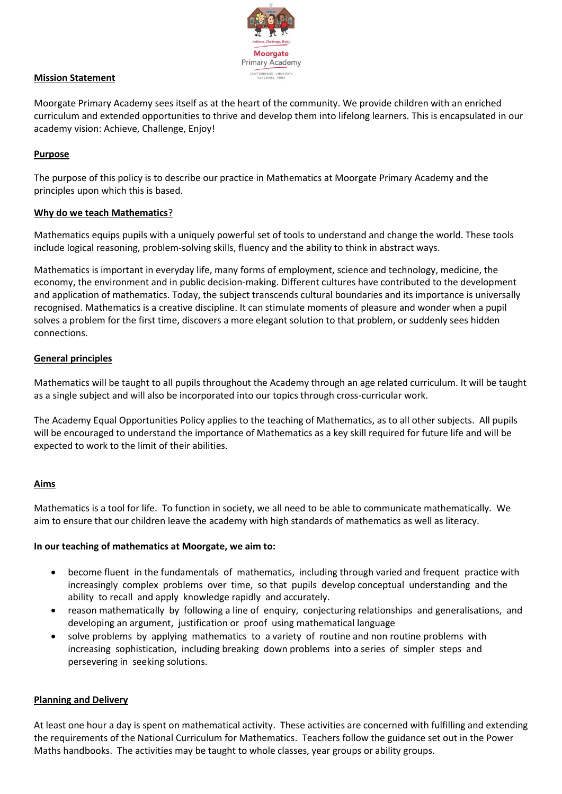

## **Mission Statement**

Moorgate Primary Academy sees itself as at the heart of the community. We provide children with an enriched curriculum and extended opportunities to thrive and develop them into lifelong learners. This is encapsulated in our academy vision: Achieve, Challenge, Enjoy!

#### **Purpose**

The purpose of this policy is to describe our practice in Mathematics at Moorgate Primary Academy and the principles upon which this is based.

## **Why do we teach Mathematics**?

Mathematics equips pupils with a uniquely powerful set of tools to understand and change the world. These tools include logical reasoning, problem-solving skills, fluency and the ability to think in abstract ways.

Mathematics is important in everyday life, many forms of employment, science and technology, medicine, the economy, the environment and in public decision-making. Different cultures have contributed to the development and application of mathematics. Today, the subject transcends cultural boundaries and its importance is universally recognised. Mathematics is a creative discipline. It can stimulate moments of pleasure and wonder when a pupil solves a problem for the first time, discovers a more elegant solution to that problem, or suddenly sees hidden connections.

## **General principles**

Mathematics will be taught to all pupils throughout the Academy through an age related curriculum. It will be taught as a single subject and will also be incorporated into our topics through cross-curricular work.

The Academy Equal Opportunities Policy applies to the teaching of Mathematics, as to all other subjects. All pupils will be encouraged to understand the importance of Mathematics as a key skill required for future life and will be expected to work to the limit of their abilities.

#### **Aims**

Mathematics is a tool for life. To function in society, we all need to be able to communicate mathematically. We aim to ensure that our children leave the academy with high standards of mathematics as well as literacy.

#### **In our teaching of mathematics at Moorgate, we aim to:**

- become fluent in the fundamentals of mathematics, including through varied and frequent practice with increasingly complex problems over time, so that pupils develop conceptual understanding and the ability to recall and apply knowledge rapidly and accurately.
- reason mathematically by following a line of enquiry, conjecturing relationships and generalisations, and developing an argument, justification or proof using mathematical language
- solve problems by applying mathematics to a variety of routine and non routine problems with increasing sophistication, including breaking down problems into a series of simpler steps and persevering in seeking solutions.

#### **Planning and Delivery**

At least one hour a day is spent on mathematical activity. These activities are concerned with fulfilling and extending the requirements of the National Curriculum for Mathematics. Teachers follow the guidance set out in the Power Maths handbooks. The activities may be taught to whole classes, year groups or ability groups.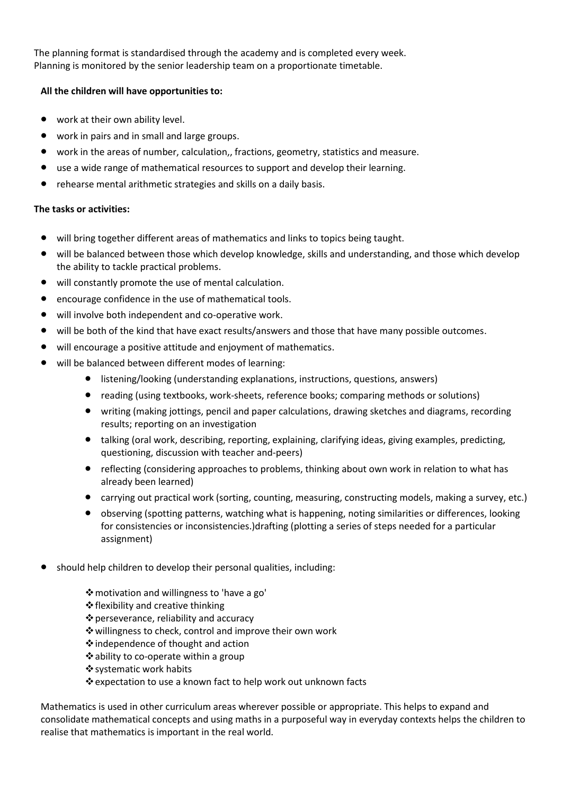The planning format is standardised through the academy and is completed every week. Planning is monitored by the senior leadership team on a proportionate timetable.

## **All the children will have opportunities to:**

- work at their own ability level.
- work in pairs and in small and large groups.
- work in the areas of number, calculation,, fractions, geometry, statistics and measure.
- use a wide range of mathematical resources to support and develop their learning.
- rehearse mental arithmetic strategies and skills on a daily basis.

# **The tasks or activities:**

- will bring together different areas of mathematics and links to topics being taught.
- will be balanced between those which develop knowledge, skills and understanding, and those which develop the ability to tackle practical problems.
- will constantly promote the use of mental calculation.
- encourage confidence in the use of mathematical tools.
- will involve both independent and co-operative work.
- will be both of the kind that have exact results/answers and those that have many possible outcomes.
- will encourage a positive attitude and enjoyment of mathematics.
- will be balanced between different modes of learning:
	- listening/looking (understanding explanations, instructions, questions, answers)
	- reading (using textbooks, work-sheets, reference books; comparing methods or solutions)
	- writing (making jottings, pencil and paper calculations, drawing sketches and diagrams, recording results; reporting on an investigation
	- talking (oral work, describing, reporting, explaining, clarifying ideas, giving examples, predicting, questioning, discussion with teacher and-peers)
	- reflecting (considering approaches to problems, thinking about own work in relation to what has already been learned)
	- carrying out practical work (sorting, counting, measuring, constructing models, making a survey, etc.)
	- observing (spotting patterns, watching what is happening, noting similarities or differences, looking for consistencies or inconsistencies.)drafting (plotting a series of steps needed for a particular assignment)
- should help children to develop their personal qualities, including:
	- motivation and willingness to 'have a go'
	- flexibility and creative thinking
	- perseverance, reliability and accuracy
	- willingness to check, control and improve their own work
	- ❖independence of thought and action
	- ability to co-operate within a group
	- systematic work habits
	- expectation to use a known fact to help work out unknown facts

Mathematics is used in other curriculum areas wherever possible or appropriate. This helps to expand and consolidate mathematical concepts and using maths in a purposeful way in everyday contexts helps the children to realise that mathematics is important in the real world.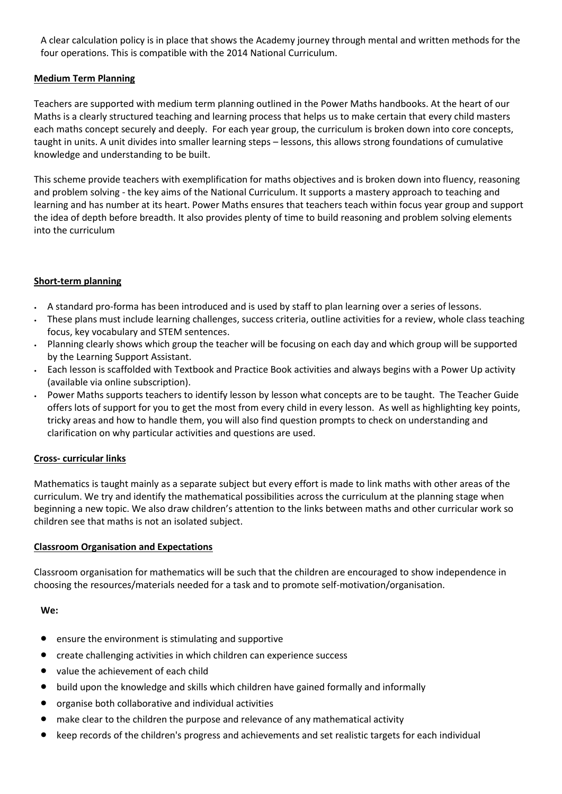A clear calculation policy is in place that shows the Academy journey through mental and written methods for the four operations. This is compatible with the 2014 National Curriculum.

# **Medium Term Planning**

Teachers are supported with medium term planning outlined in the Power Maths handbooks. At the heart of our Maths is a clearly structured teaching and learning process that helps us to make certain that every child masters each maths concept securely and deeply. For each year group, the curriculum is broken down into core concepts, taught in units. A unit divides into smaller learning steps – lessons, this allows strong foundations of cumulative knowledge and understanding to be built.

This scheme provide teachers with exemplification for maths objectives and is broken down into fluency, reasoning and problem solving - the key aims of the National Curriculum. It supports a mastery approach to teaching and learning and has number at its heart. Power Maths ensures that teachers teach within focus year group and support the idea of depth before breadth. It also provides plenty of time to build reasoning and problem solving elements into the curriculum

## **Short-term planning**

- A standard pro-forma has been introduced and is used by staff to plan learning over a series of lessons.
- These plans must include learning challenges, success criteria, outline activities for a review, whole class teaching focus, key vocabulary and STEM sentences.
- Planning clearly shows which group the teacher will be focusing on each day and which group will be supported by the Learning Support Assistant.
- Each lesson is scaffolded with Textbook and Practice Book activities and always begins with a Power Up activity (available via online subscription).
- Power Maths supports teachers to identify lesson by lesson what concepts are to be taught. The Teacher Guide offers lots of support for you to get the most from every child in every lesson. As well as highlighting key points, tricky areas and how to handle them, you will also find question prompts to check on understanding and clarification on why particular activities and questions are used.

#### **Cross- curricular links**

Mathematics is taught mainly as a separate subject but every effort is made to link maths with other areas of the curriculum. We try and identify the mathematical possibilities across the curriculum at the planning stage when beginning a new topic. We also draw children's attention to the links between maths and other curricular work so children see that maths is not an isolated subject.

#### **Classroom Organisation and Expectations**

Classroom organisation for mathematics will be such that the children are encouraged to show independence in choosing the resources/materials needed for a task and to promote self-motivation/organisation.

#### **We:**

- ensure the environment is stimulating and supportive
- create challenging activities in which children can experience success
- value the achievement of each child
- build upon the knowledge and skills which children have gained formally and informally
- organise both collaborative and individual activities
- make clear to the children the purpose and relevance of any mathematical activity
- keep records of the children's progress and achievements and set realistic targets for each individual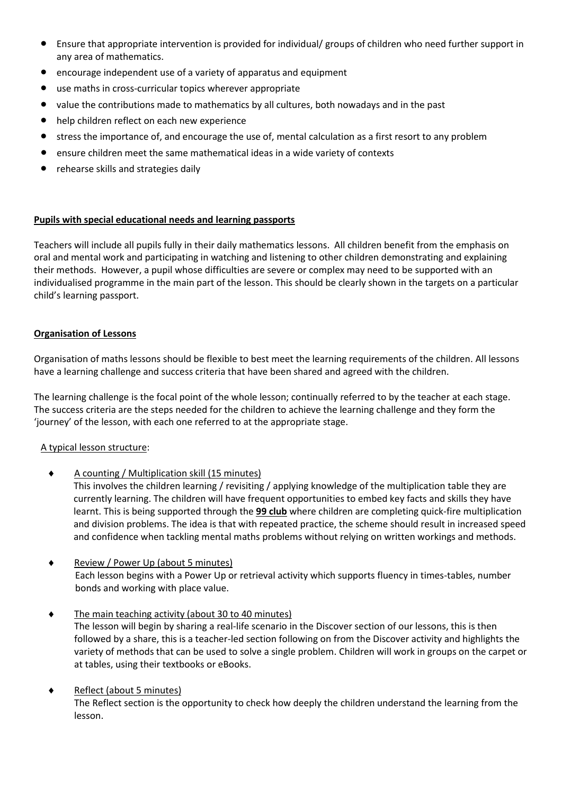- Ensure that appropriate intervention is provided for individual/ groups of children who need further support in any area of mathematics.
- encourage independent use of a variety of apparatus and equipment
- use maths in cross-curricular topics wherever appropriate
- value the contributions made to mathematics by all cultures, both nowadays and in the past
- help children reflect on each new experience
- stress the importance of, and encourage the use of, mental calculation as a first resort to any problem
- ensure children meet the same mathematical ideas in a wide variety of contexts
- rehearse skills and strategies daily

## **Pupils with special educational needs and learning passports**

Teachers will include all pupils fully in their daily mathematics lessons. All children benefit from the emphasis on oral and mental work and participating in watching and listening to other children demonstrating and explaining their methods. However, a pupil whose difficulties are severe or complex may need to be supported with an individualised programme in the main part of the lesson. This should be clearly shown in the targets on a particular child's learning passport.

# **Organisation of Lessons**

Organisation of maths lessons should be flexible to best meet the learning requirements of the children. All lessons have a learning challenge and success criteria that have been shared and agreed with the children.

The learning challenge is the focal point of the whole lesson; continually referred to by the teacher at each stage. The success criteria are the steps needed for the children to achieve the learning challenge and they form the 'journey' of the lesson, with each one referred to at the appropriate stage.

# A typical lesson structure:

 $\triangleleft$  A counting / Multiplication skill (15 minutes)

This involves the children learning / revisiting / applying knowledge of the multiplication table they are currently learning. The children will have frequent opportunities to embed key facts and skills they have learnt. This is being supported through the **99 club** where children are completing quick-fire multiplication and division problems. The idea is that with repeated practice, the scheme should result in increased speed and confidence when tackling mental maths problems without relying on written workings and methods.

- ◆ Review / Power Up (about 5 minutes) Each lesson begins with a Power Up or retrieval activity which supports fluency in times-tables, number bonds and working with place value.
- $\bullet$  The main teaching activity (about 30 to 40 minutes) The lesson will begin by sharing a real-life scenario in the Discover section of our lessons, this is then followed by a share, this is a teacher-led section following on from the Discover activity and highlights the variety of methods that can be used to solve a single problem. Children will work in groups on the carpet or at tables, using their textbooks or eBooks.

# ◆ Reflect (about 5 minutes)

The Reflect section is the opportunity to check how deeply the children understand the learning from the lesson.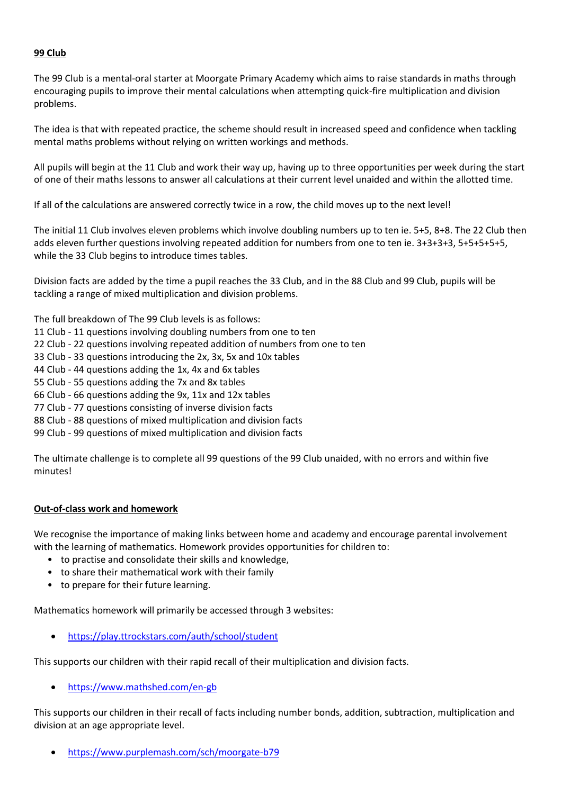## **99 Club**

The 99 Club is a mental-oral starter at Moorgate Primary Academy which aims to raise standards in maths through encouraging pupils to improve their mental calculations when attempting quick-fire multiplication and division problems.

The idea is that with repeated practice, the scheme should result in increased speed and confidence when tackling mental maths problems without relying on written workings and methods.

All pupils will begin at the 11 Club and work their way up, having up to three opportunities per week during the start of one of their maths lessons to answer all calculations at their current level unaided and within the allotted time.

If all of the calculations are answered correctly twice in a row, the child moves up to the next level!

The initial 11 Club involves eleven problems which involve doubling numbers up to ten ie. 5+5, 8+8. The 22 Club then adds eleven further questions involving repeated addition for numbers from one to ten ie. 3+3+3+3, 5+5+5+5+5, while the 33 Club begins to introduce times tables.

Division facts are added by the time a pupil reaches the 33 Club, and in the 88 Club and 99 Club, pupils will be tackling a range of mixed multiplication and division problems.

The full breakdown of The 99 Club levels is as follows:

11 Club - 11 questions involving doubling numbers from one to ten

- 22 Club 22 questions involving repeated addition of numbers from one to ten
- 33 Club 33 questions introducing the 2x, 3x, 5x and 10x tables

44 Club - 44 questions adding the 1x, 4x and 6x tables

55 Club - 55 questions adding the 7x and 8x tables

66 Club - 66 questions adding the 9x, 11x and 12x tables

77 Club - 77 questions consisting of inverse division facts

88 Club - 88 questions of mixed multiplication and division facts

99 Club - 99 questions of mixed multiplication and division facts

The ultimate challenge is to complete all 99 questions of the 99 Club unaided, with no errors and within five minutes!

#### **Out-of-class work and homework**

We recognise the importance of making links between home and academy and encourage parental involvement with the learning of mathematics. Homework provides opportunities for children to:

- to practise and consolidate their skills and knowledge,
- to share their mathematical work with their family
- to prepare for their future learning.

Mathematics homework will primarily be accessed through 3 websites:

<https://play.ttrockstars.com/auth/school/student>

This supports our children with their rapid recall of their multiplication and division facts.

<https://www.mathshed.com/en-gb>

This supports our children in their recall of facts including number bonds, addition, subtraction, multiplication and division at an age appropriate level.

<https://www.purplemash.com/sch/moorgate-b79>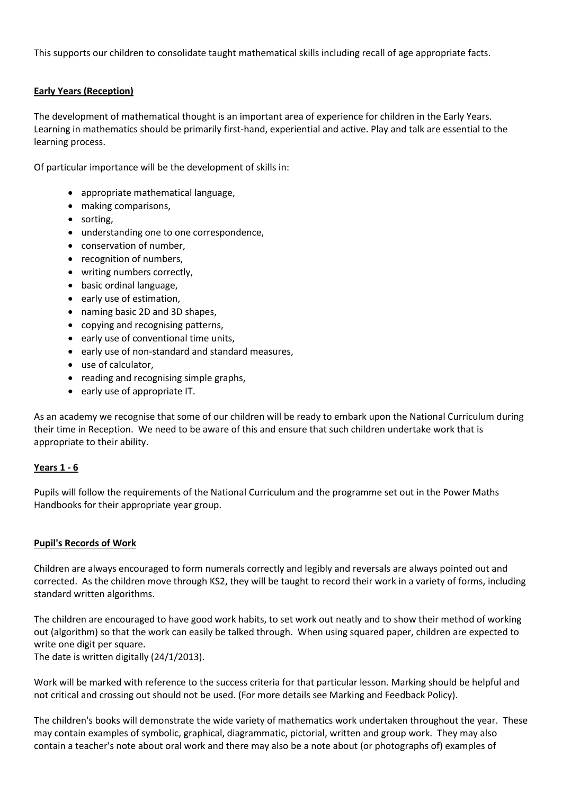This supports our children to consolidate taught mathematical skills including recall of age appropriate facts.

# **Early Years (Reception)**

The development of mathematical thought is an important area of experience for children in the Early Years. Learning in mathematics should be primarily first-hand, experiential and active. Play and talk are essential to the learning process.

Of particular importance will be the development of skills in:

- appropriate mathematical language,
- making comparisons,
- sorting,
- understanding one to one correspondence,
- conservation of number,
- recognition of numbers,
- writing numbers correctly,
- basic ordinal language,
- early use of estimation,
- naming basic 2D and 3D shapes,
- copying and recognising patterns,
- early use of conventional time units,
- early use of non-standard and standard measures,
- use of calculator,
- reading and recognising simple graphs.
- early use of appropriate IT.

As an academy we recognise that some of our children will be ready to embark upon the National Curriculum during their time in Reception. We need to be aware of this and ensure that such children undertake work that is appropriate to their ability.

#### **Years 1 - 6**

Pupils will follow the requirements of the National Curriculum and the programme set out in the Power Maths Handbooks for their appropriate year group.

#### **Pupil's Records of Work**

Children are always encouraged to form numerals correctly and legibly and reversals are always pointed out and corrected. As the children move through KS2, they will be taught to record their work in a variety of forms, including standard written algorithms.

The children are encouraged to have good work habits, to set work out neatly and to show their method of working out (algorithm) so that the work can easily be talked through. When using squared paper, children are expected to write one digit per square.

The date is written digitally (24/1/2013).

Work will be marked with reference to the success criteria for that particular lesson. Marking should be helpful and not critical and crossing out should not be used. (For more details see Marking and Feedback Policy).

The children's books will demonstrate the wide variety of mathematics work undertaken throughout the year. These may contain examples of symbolic, graphical, diagrammatic, pictorial, written and group work. They may also contain a teacher's note about oral work and there may also be a note about (or photographs of) examples of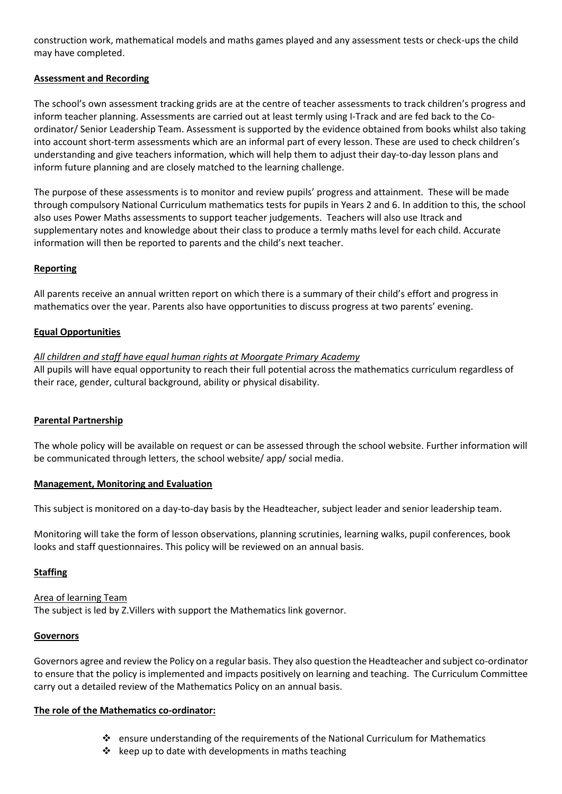construction work, mathematical models and maths games played and any assessment tests or check-ups the child may have completed.

## **Assessment and Recording**

The school's own assessment tracking grids are at the centre of teacher assessments to track children's progress and inform teacher planning. Assessments are carried out at least termly using I-Track and are fed back to the Coordinator/ Senior Leadership Team. Assessment is supported by the evidence obtained from books whilst also taking into account short-term assessments which are an informal part of every lesson. These are used to check children's understanding and give teachers information, which will help them to adjust their day-to-day lesson plans and inform future planning and are closely matched to the learning challenge.

The purpose of these assessments is to monitor and review pupils' progress and attainment. These will be made through compulsory National Curriculum mathematics tests for pupils in Years 2 and 6. In addition to this, the school also uses Power Maths assessments to support teacher judgements. Teachers will also use Itrack and supplementary notes and knowledge about their class to produce a termly maths level for each child. Accurate information will then be reported to parents and the child's next teacher.

# **Reporting**

All parents receive an annual written report on which there is a summary of their child's effort and progress in mathematics over the year. Parents also have opportunities to discuss progress at two parents' evening.

## **Equal Opportunities**

## *All children and staff have equal human rights at Moorgate Primary Academy*

All pupils will have equal opportunity to reach their full potential across the mathematics curriculum regardless of their race, gender, cultural background, ability or physical disability.

# **Parental Partnership**

The whole policy will be available on request or can be assessed through the school website. Further information will be communicated through letters, the school website/ app/ social media.

#### **Management, Monitoring and Evaluation**

This subject is monitored on a day-to-day basis by the Headteacher, subject leader and senior leadership team.

Monitoring will take the form of lesson observations, planning scrutinies, learning walks, pupil conferences, book looks and staff questionnaires. This policy will be reviewed on an annual basis.

# **Staffing**

Area of learning Team The subject is led by Z.Villers with support the Mathematics link governor.

#### **Governors**

Governors agree and review the Policy on a regular basis. They also question the Headteacher and subject co-ordinator to ensure that the policy is implemented and impacts positively on learning and teaching. The Curriculum Committee carry out a detailed review of the Mathematics Policy on an annual basis.

# **The role of the Mathematics co-ordinator:**

- ensure understanding of the requirements of the National Curriculum for Mathematics
- $\triangle$  keep up to date with developments in maths teaching